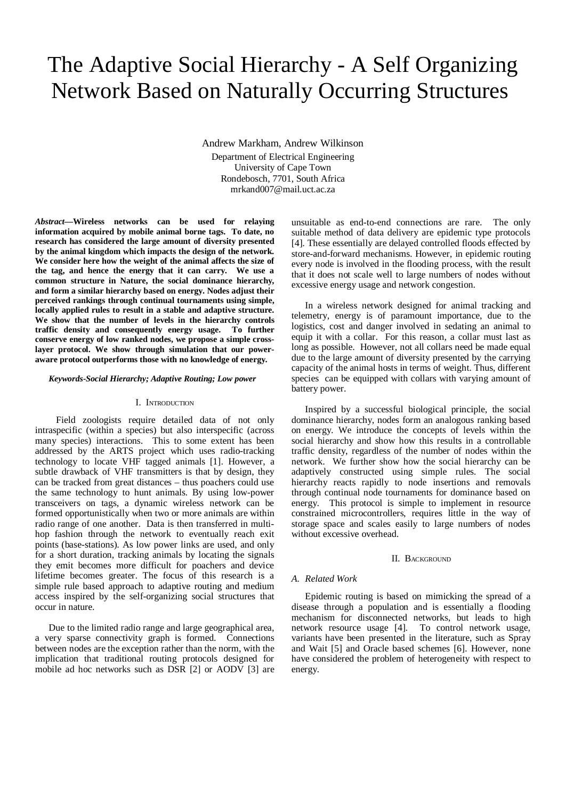# The Adaptive Social Hierarchy - A Self Organizing Network Based on Naturally Occurring Structures

Andrew Markham, Andrew Wilkinson Department of Electrical Engineering

University of Cape Town Rondebosch, 7701, South Africa mrkand007@mail.uct.ac.za

*Abstract***—Wireless networks can be used for relaying information acquired by mobile animal borne tags. To date, no research has considered the large amount of diversity presented by the animal kingdom which impacts the design of the network. We consider here how the weight of the animal affects the size of the tag, and hence the energy that it can carry. We use a common structure in Nature, the social dominance hierarchy, and form a similar hierarchy based on energy. Nodes adjust their perceived rankings through continual tournaments using simple, locally applied rules to result in a stable and adaptive structure. We show that the number of levels in the hierarchy controls traffic density and consequently energy usage. To further conserve energy of low ranked nodes, we propose a simple cross**layer protocol. We show through simulation that our power**aware protocol outperforms those with no knowledge of energy.**

#### *Keywords-Social Hierarchy; Adaptive Routing; Low power*

#### I. INTRODUCTION

 Field zoologists require detailed data of not only intraspecific (within a species) but also interspecific (across many species) interactions. This to some extent has been addressed by the ARTS project which uses radio-tracking technology to locate VHF tagged animals [1]. However, a subtle drawback of VHF transmitters is that by design, they can be tracked from great distances – thus poachers could use the same technology to hunt animals. By using low-power transceivers on tags, a dynamic wireless network can be formed opportunistically when two or more animals are within radio range of one another. Data is then transferred in multihop fashion through the network to eventually reach exit points (base-stations). As low power links are used, and only for a short duration, tracking animals by locating the signals they emit becomes more difficult for poachers and device lifetime becomes greater. The focus of this research is a simple rule based approach to adaptive routing and medium access inspired by the self-organizing social structures that occur in nature.

Due to the limited radio range and large geographical area, a very sparse connectivity graph is formed. Connections between nodes are the exception rather than the norm, with the implication that traditional routing protocols designed for mobile ad hoc networks such as DSR [2] or AODV [3] are unsuitable as end-to-end connections are rare. The only suitable method of data delivery are epidemic type protocols [4]. These essentially are delayed controlled floods effected by store-and-forward mechanisms. However, in epidemic routing every node is involved in the flooding process, with the result that it does not scale well to large numbers of nodes without excessive energy usage and network congestion.

In a wireless network designed for animal tracking and telemetry, energy is of paramount importance, due to the logistics, cost and danger involved in sedating an animal to equip it with a collar. For this reason, a collar must last as long as possible. However, not all collars need be made equal due to the large amount of diversity presented by the carrying capacity of the animal hosts in terms of weight. Thus, different species can be equipped with collars with varying amount of battery power.

Inspired by a successful biological principle, the social dominance hierarchy, nodes form an analogous ranking based on energy. We introduce the concepts of levels within the social hierarchy and show how this results in a controllable traffic density, regardless of the number of nodes within the network. We further show how the social hierarchy can be adaptively constructed using simple rules. The social hierarchy reacts rapidly to node insertions and removals through continual node tournaments for dominance based on energy. This protocol is simple to implement in resource constrained microcontrollers, requires little in the way of storage space and scales easily to large numbers of nodes without excessive overhead.

#### II. BACKGROUND

## *A. Related Work*

Epidemic routing is based on mimicking the spread of a disease through a population and is essentially a flooding mechanism for disconnected networks, but leads to high network resource usage [4]. To control network usage, variants have been presented in the literature, such as Spray and Wait [5] and Oracle based schemes [6]. However, none have considered the problem of heterogeneity with respect to energy.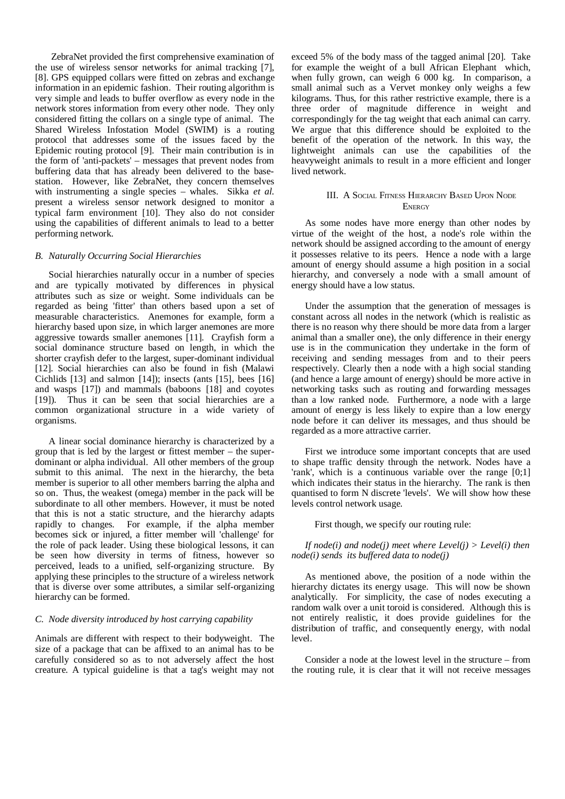ZebraNet provided the first comprehensive examination of the use of wireless sensor networks for animal tracking [7], [8]. GPS equipped collars were fitted on zebras and exchange information in an epidemic fashion. Their routing algorithm is very simple and leads to buffer overflow as every node in the network stores information from every other node. They only considered fitting the collars on a single type of animal. The Shared Wireless Infostation Model (SWIM) is a routing protocol that addresses some of the issues faced by the Epidemic routing protocol [9]. Their main contribution is in the form of 'anti-packets' – messages that prevent nodes from buffering data that has already been delivered to the basestation. However, like ZebraNet, they concern themselves with instrumenting a single species – whales. Sikka *et al.* present a wireless sensor network designed to monitor a typical farm environment [10]. They also do not consider using the capabilities of different animals to lead to a better performing network.

## *B. Naturally Occurring Social Hierarchies*

Social hierarchies naturally occur in a number of species and are typically motivated by differences in physical attributes such as size or weight. Some individuals can be regarded as being 'fitter' than others based upon a set of measurable characteristics. Anemones for example, form a hierarchy based upon size, in which larger anemones are more aggressive towards smaller anemones [11]. Crayfish form a social dominance structure based on length, in which the shorter crayfish defer to the largest, super-dominant individual [12]. Social hierarchies can also be found in fish (Malawi Cichlids [13] and salmon [14]); insects (ants [15], bees [16] and wasps [17]) and mammals (baboons [18] and coyotes [19]). Thus it can be seen that social hierarchies are a common organizational structure in a wide variety of organisms.

A linear social dominance hierarchy is characterized by a group that is led by the largest or fittest member – the superdominant or alpha individual. All other members of the group submit to this animal. The next in the hierarchy, the beta member is superior to all other members barring the alpha and so on. Thus, the weakest (omega) member in the pack will be subordinate to all other members. However, it must be noted that this is not a static structure, and the hierarchy adapts rapidly to changes. For example, if the alpha member becomes sick or injured, a fitter member will 'challenge' for the role of pack leader. Using these biological lessons, it can be seen how diversity in terms of fitness, however so perceived, leads to a unified, self-organizing structure. By applying these principles to the structure of a wireless network that is diverse over some attributes, a similar self-organizing hierarchy can be formed.

## *C. Node diversity introduced by host carrying capability*

Animals are different with respect to their bodyweight. The size of a package that can be affixed to an animal has to be carefully considered so as to not adversely affect the host creature. A typical guideline is that a tag's weight may not

exceed 5% of the body mass of the tagged animal [20]. Take for example the weight of a bull African Elephant which, when fully grown, can weigh 6 000 kg. In comparison, a small animal such as a Vervet monkey only weighs a few kilograms. Thus, for this rather restrictive example, there is a three order of magnitude difference in weight and correspondingly for the tag weight that each animal can carry. We argue that this difference should be exploited to the benefit of the operation of the network. In this way, the lightweight animals can use the capabilities of the heavyweight animals to result in a more efficient and longer lived network.

# III. A SOCIAL FITNESS HIERARCHY BASED UPON NODE **ENERGY**

As some nodes have more energy than other nodes by virtue of the weight of the host, a node's role within the network should be assigned according to the amount of energy it possesses relative to its peers. Hence a node with a large amount of energy should assume a high position in a social hierarchy, and conversely a node with a small amount of energy should have a low status.

Under the assumption that the generation of messages is constant across all nodes in the network (which is realistic as there is no reason why there should be more data from a larger animal than a smaller one), the only difference in their energy use is in the communication they undertake in the form of receiving and sending messages from and to their peers respectively. Clearly then a node with a high social standing (and hence a large amount of energy) should be more active in networking tasks such as routing and forwarding messages than a low ranked node. Furthermore, a node with a large amount of energy is less likely to expire than a low energy node before it can deliver its messages, and thus should be regarded as a more attractive carrier.

First we introduce some important concepts that are used to shape traffic density through the network. Nodes have a 'rank', which is a continuous variable over the range [0;1] which indicates their status in the hierarchy. The rank is then quantised to form N discrete 'levels'. We will show how these levels control network usage.

First though, we specify our routing rule:

## *If node(i) and node(j) meet where Level(j) > Level(i) then node(i) sends its buffered data to node(j)*

As mentioned above, the position of a node within the hierarchy dictates its energy usage. This will now be shown analytically. For simplicity, the case of nodes executing a random walk over a unit toroid is considered. Although this is not entirely realistic, it does provide guidelines for the distribution of traffic, and consequently energy, with nodal level.

Consider a node at the lowest level in the structure – from the routing rule, it is clear that it will not receive messages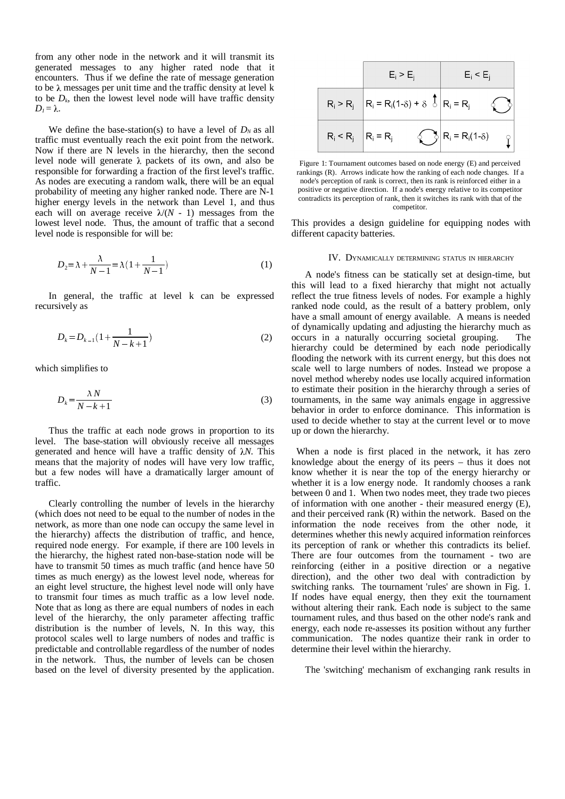from any other node in the network and it will transmit its generated messages to any higher rated node that it encounters. Thus if we define the rate of message generation to be  $\lambda$  messages per unit time and the traffic density at level k to be  $D_k$ , then the lowest level node will have traffic density  $D_1 = λ$ .

We define the base-station(s) to have a level of  $D_N$  as all traffic must eventually reach the exit point from the network. Now if there are N levels in the hierarchy, then the second level node will generate  $\lambda$  packets of its own, and also be responsible for forwarding a fraction of the first level's traffic. As nodes are executing a random walk, there will be an equal probability of meeting any higher ranked node. There are N-1 higher energy levels in the network than Level 1, and thus each will on average receive  $\lambda/(N - 1)$  messages from the lowest level node. Thus, the amount of traffic that a second level node is responsible for will be:

$$
D_2 = \lambda + \frac{\lambda}{N - 1} = \lambda \left( 1 + \frac{1}{N - 1} \right) \tag{1}
$$

In general, the traffic at level k can be expressed recursively as

$$
D_k = D_{k-1}(1 + \frac{1}{N - k + 1})
$$
\n(2)

which simplifies to

$$
D_k = \frac{\lambda N}{N - k + 1} \tag{3}
$$

Thus the traffic at each node grows in proportion to its level. The base-station will obviously receive all messages generated and hence will have a traffic density of λ*N*. This means that the majority of nodes will have very low traffic, but a few nodes will have a dramatically larger amount of traffic.

Clearly controlling the number of levels in the hierarchy (which does not need to be equal to the number of nodes in the network, as more than one node can occupy the same level in the hierarchy) affects the distribution of traffic, and hence, required node energy. For example, if there are 100 levels in the hierarchy, the highest rated non-base-station node will be have to transmit 50 times as much traffic (and hence have 50 times as much energy) as the lowest level node, whereas for an eight level structure, the highest level node will only have to transmit four times as much traffic as a low level node. Note that as long as there are equal numbers of nodes in each level of the hierarchy, the only parameter affecting traffic distribution is the number of levels, N. In this way, this protocol scales well to large numbers of nodes and traffic is predictable and controllable regardless of the number of nodes in the network. Thus, the number of levels can be chosen based on the level of diversity presented by the application.



Figure 1: Tournament outcomes based on node energy (E) and perceived rankings (R). Arrows indicate how the ranking of each node changes. If a node's perception of rank is correct, then its rank is reinforced either in a positive or negative direction. If a node's energy relative to its competitor contradicts its perception of rank, then it switches its rank with that of the competitor.

This provides a design guideline for equipping nodes with different capacity batteries.

#### IV. DYNAMICALLY DETERMINING STATUS IN HIERARCHY

A node's fitness can be statically set at design-time, but this will lead to a fixed hierarchy that might not actually reflect the true fitness levels of nodes. For example a highly ranked node could, as the result of a battery problem, only have a small amount of energy available. A means is needed of dynamically updating and adjusting the hierarchy much as occurs in a naturally occurring societal grouping. The hierarchy could be determined by each node periodically flooding the network with its current energy, but this does not scale well to large numbers of nodes. Instead we propose a novel method whereby nodes use locally acquired information to estimate their position in the hierarchy through a series of tournaments, in the same way animals engage in aggressive behavior in order to enforce dominance. This information is used to decide whether to stay at the current level or to move up or down the hierarchy.

 When a node is first placed in the network, it has zero knowledge about the energy of its peers – thus it does not know whether it is near the top of the energy hierarchy or whether it is a low energy node. It randomly chooses a rank between 0 and 1. When two nodes meet, they trade two pieces of information with one another - their measured energy (E), and their perceived rank (R) within the network. Based on the information the node receives from the other node, it determines whether this newly acquired information reinforces its perception of rank or whether this contradicts its belief. There are four outcomes from the tournament - two are reinforcing (either in a positive direction or a negative direction), and the other two deal with contradiction by switching ranks. The tournament 'rules' are shown in Fig. 1. If nodes have equal energy, then they exit the tournament without altering their rank. Each node is subject to the same tournament rules, and thus based on the other node's rank and energy, each node re-assesses its position without any further communication. The nodes quantize their rank in order to determine their level within the hierarchy.

The 'switching' mechanism of exchanging rank results in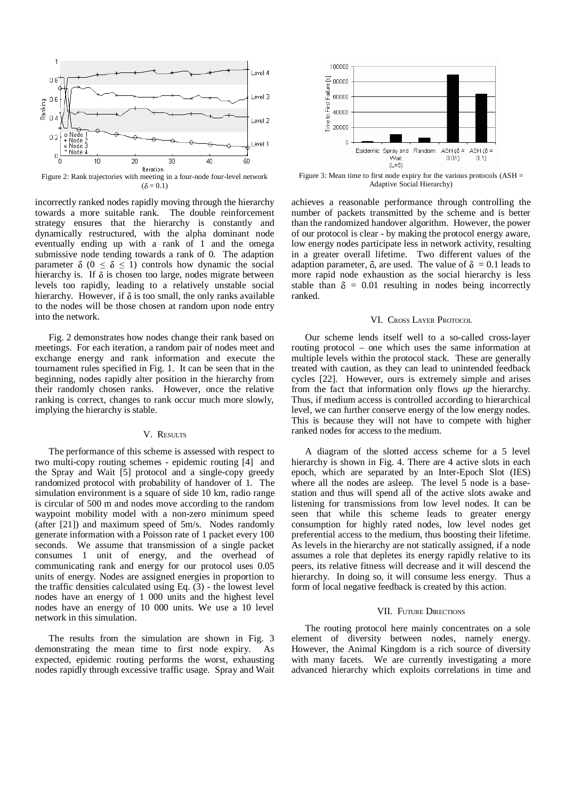

incorrectly ranked nodes rapidly moving through the hierarchy towards a more suitable rank. The double reinforcement strategy ensures that the hierarchy is constantly and dynamically restructured, with the alpha dominant node eventually ending up with a rank of 1 and the omega submissive node tending towards a rank of 0. The adaption parameter  $\delta$  ( $0 \leq \delta \leq 1$ ) controls how dynamic the social hierarchy is. If  $\delta$  is chosen too large, nodes migrate between levels too rapidly, leading to a relatively unstable social hierarchy. However, if  $\delta$  is too small, the only ranks available to the nodes will be those chosen at random upon node entry into the network.

Fig. 2 demonstrates how nodes change their rank based on meetings. For each iteration, a random pair of nodes meet and exchange energy and rank information and execute the tournament rules specified in Fig. 1. It can be seen that in the beginning, nodes rapidly alter position in the hierarchy from their randomly chosen ranks. However, once the relative ranking is correct, changes to rank occur much more slowly, implying the hierarchy is stable.

## V. RESULTS

The performance of this scheme is assessed with respect to two multi-copy routing schemes - epidemic routing [4] and the Spray and Wait [5] protocol and a single-copy greedy randomized protocol with probability of handover of 1. The simulation environment is a square of side 10 km, radio range is circular of 500 m and nodes move according to the random waypoint mobility model with a non-zero minimum speed (after [21]) and maximum speed of 5m/s. Nodes randomly generate information with a Poisson rate of 1 packet every 100 seconds. We assume that transmission of a single packet consumes 1 unit of energy, and the overhead of communicating rank and energy for our protocol uses 0.05 units of energy. Nodes are assigned energies in proportion to the traffic densities calculated using Eq. (3) - the lowest level nodes have an energy of 1 000 units and the highest level nodes have an energy of 10 000 units. We use a 10 level network in this simulation.

The results from the simulation are shown in Fig. 3 demonstrating the mean time to first node expiry. As expected, epidemic routing performs the worst, exhausting nodes rapidly through excessive traffic usage. Spray and Wait



Figure 3: Mean time to first node expiry for the various protocols  $(ASH =$ Adaptive Social Hierarchy)

achieves a reasonable performance through controlling the number of packets transmitted by the scheme and is better than the randomized handover algorithm. However, the power of our protocol is clear - by making the protocol energy aware, low energy nodes participate less in network activity, resulting in a greater overall lifetime. Two different values of the adaption parameter,  $\delta$ , are used. The value of  $\delta = 0.1$  leads to more rapid node exhaustion as the social hierarchy is less stable than  $\delta = 0.01$  resulting in nodes being incorrectly ranked.

## VI. CROSS LAYER PROTOCOL

Our scheme lends itself well to a so-called cross-layer routing protocol – one which uses the same information at multiple levels within the protocol stack. These are generally treated with caution, as they can lead to unintended feedback cycles [22]. However, ours is extremely simple and arises from the fact that information only flows *up* the hierarchy. Thus, if medium access is controlled according to hierarchical level, we can further conserve energy of the low energy nodes. This is because they will not have to compete with higher ranked nodes for access to the medium.

A diagram of the slotted access scheme for a 5 level hierarchy is shown in Fig. 4. There are 4 active slots in each epoch, which are separated by an Inter-Epoch Slot (IES) where all the nodes are asleep. The level  $5$  node is a basestation and thus will spend all of the active slots awake and listening for transmissions from low level nodes. It can be seen that while this scheme leads to greater energy consumption for highly rated nodes, low level nodes get preferential access to the medium, thus boosting their lifetime. As levels in the hierarchy are not statically assigned, if a node assumes a role that depletes its energy rapidly relative to its peers, its relative fitness will decrease and it will descend the hierarchy. In doing so, it will consume less energy. Thus a form of local negative feedback is created by this action.

#### VII. FUTURE DIRECTIONS

The routing protocol here mainly concentrates on a sole element of diversity between nodes, namely energy. However, the Animal Kingdom is a rich source of diversity with many facets. We are currently investigating a more advanced hierarchy which exploits correlations in time and